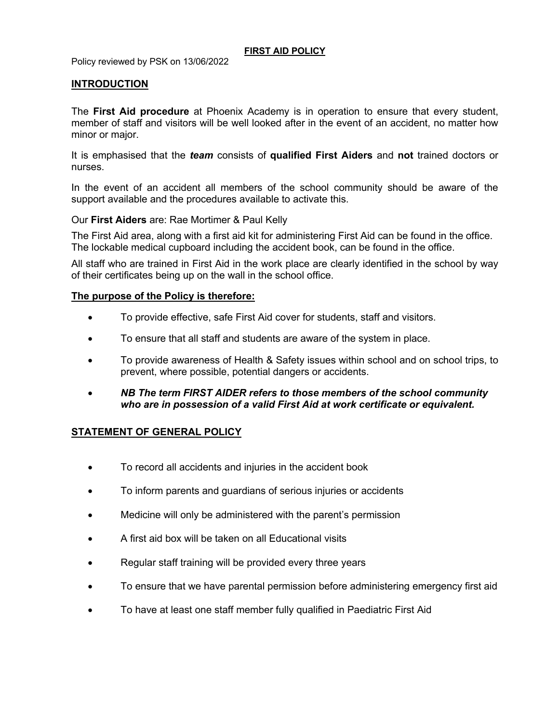### **FIRST AID POLICY**

Policy reviewed by PSK on 13/06/2022

### **INTRODUCTION**

The **First Aid procedure** at Phoenix Academy is in operation to ensure that every student, member of staff and visitors will be well looked after in the event of an accident, no matter how minor or major.

It is emphasised that the *team* consists of **qualified First Aiders** and **not** trained doctors or nurses.

In the event of an accident all members of the school community should be aware of the support available and the procedures available to activate this.

Our **First Aiders** are: Rae Mortimer & Paul Kelly

The First Aid area, along with a first aid kit for administering First Aid can be found in the office. The lockable medical cupboard including the accident book, can be found in the office.

All staff who are trained in First Aid in the work place are clearly identified in the school by way of their certificates being up on the wall in the school office.

### **The purpose of the Policy is therefore:**

- To provide effective, safe First Aid cover for students, staff and visitors.
- To ensure that all staff and students are aware of the system in place.
- To provide awareness of Health & Safety issues within school and on school trips, to prevent, where possible, potential dangers or accidents.
- *NB The term FIRST AIDER refers to those members of the school community who are in possession of a valid First Aid at work certificate or equivalent.*

## **STATEMENT OF GENERAL POLICY**

- To record all accidents and injuries in the accident book
- To inform parents and guardians of serious injuries or accidents
- Medicine will only be administered with the parent's permission
- A first aid box will be taken on all Educational visits
- Regular staff training will be provided every three years
- To ensure that we have parental permission before administering emergency first aid
- To have at least one staff member fully qualified in Paediatric First Aid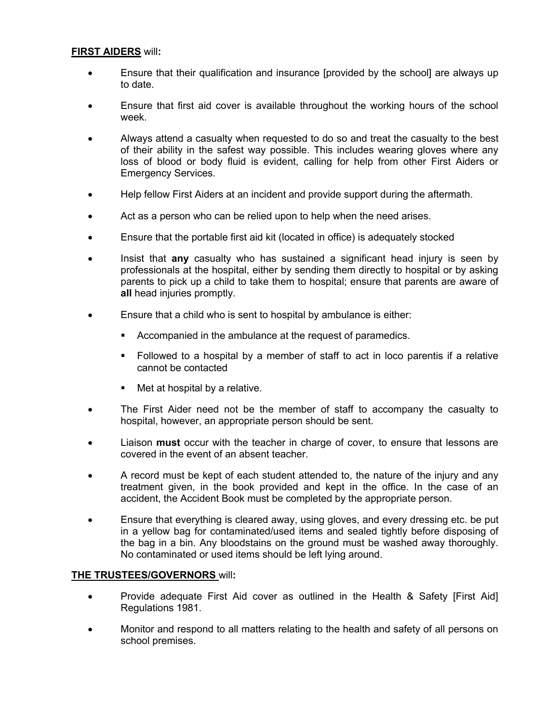### **FIRST AIDERS** will**:**

- Ensure that their qualification and insurance [provided by the school] are always up to date.
- Ensure that first aid cover is available throughout the working hours of the school week.
- Always attend a casualty when requested to do so and treat the casualty to the best of their ability in the safest way possible. This includes wearing gloves where any loss of blood or body fluid is evident, calling for help from other First Aiders or Emergency Services.
- Help fellow First Aiders at an incident and provide support during the aftermath.
- Act as a person who can be relied upon to help when the need arises.
- Ensure that the portable first aid kit (located in office) is adequately stocked
- Insist that **any** casualty who has sustained a significant head injury is seen by professionals at the hospital, either by sending them directly to hospital or by asking parents to pick up a child to take them to hospital; ensure that parents are aware of **all** head injuries promptly.
- Ensure that a child who is sent to hospital by ambulance is either:
	- Accompanied in the ambulance at the request of paramedics.
	- § Followed to a hospital by a member of staff to act in loco parentis if a relative cannot be contacted
	- Met at hospital by a relative.
- The First Aider need not be the member of staff to accompany the casualty to hospital, however, an appropriate person should be sent.
- Liaison **must** occur with the teacher in charge of cover, to ensure that lessons are covered in the event of an absent teacher.
- A record must be kept of each student attended to, the nature of the injury and any treatment given, in the book provided and kept in the office. In the case of an accident, the Accident Book must be completed by the appropriate person.
- Ensure that everything is cleared away, using gloves, and every dressing etc. be put in a yellow bag for contaminated/used items and sealed tightly before disposing of the bag in a bin. Any bloodstains on the ground must be washed away thoroughly. No contaminated or used items should be left lying around.

### **THE TRUSTEES/GOVERNORS** will**:**

- Provide adequate First Aid cover as outlined in the Health & Safety [First Aid] Regulations 1981.
- Monitor and respond to all matters relating to the health and safety of all persons on school premises.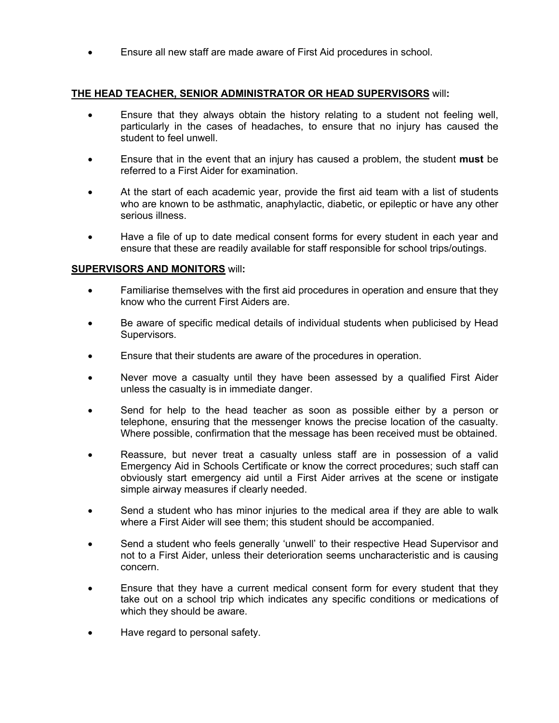• Ensure all new staff are made aware of First Aid procedures in school.

## **THE HEAD TEACHER, SENIOR ADMINISTRATOR OR HEAD SUPERVISORS** will**:**

- Ensure that they always obtain the history relating to a student not feeling well, particularly in the cases of headaches, to ensure that no injury has caused the student to feel unwell.
- Ensure that in the event that an injury has caused a problem, the student **must** be referred to a First Aider for examination.
- At the start of each academic year, provide the first aid team with a list of students who are known to be asthmatic, anaphylactic, diabetic, or epileptic or have any other serious illness.
- Have a file of up to date medical consent forms for every student in each year and ensure that these are readily available for staff responsible for school trips/outings.

### **SUPERVISORS AND MONITORS** will**:**

- Familiarise themselves with the first aid procedures in operation and ensure that they know who the current First Aiders are.
- Be aware of specific medical details of individual students when publicised by Head Supervisors.
- Ensure that their students are aware of the procedures in operation.
- Never move a casualty until they have been assessed by a qualified First Aider unless the casualty is in immediate danger.
- Send for help to the head teacher as soon as possible either by a person or telephone, ensuring that the messenger knows the precise location of the casualty. Where possible, confirmation that the message has been received must be obtained.
- Reassure, but never treat a casualty unless staff are in possession of a valid Emergency Aid in Schools Certificate or know the correct procedures; such staff can obviously start emergency aid until a First Aider arrives at the scene or instigate simple airway measures if clearly needed.
- Send a student who has minor injuries to the medical area if they are able to walk where a First Aider will see them; this student should be accompanied.
- Send a student who feels generally 'unwell' to their respective Head Supervisor and not to a First Aider, unless their deterioration seems uncharacteristic and is causing concern.
- Ensure that they have a current medical consent form for every student that they take out on a school trip which indicates any specific conditions or medications of which they should be aware.
- Have regard to personal safety.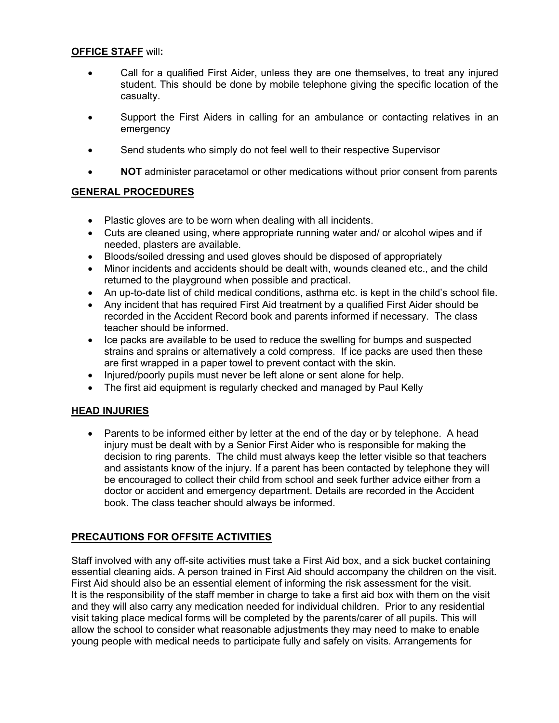## **OFFICE STAFF** will**:**

- Call for a qualified First Aider, unless they are one themselves, to treat any injured student. This should be done by mobile telephone giving the specific location of the casualty.
- Support the First Aiders in calling for an ambulance or contacting relatives in an emergency
- Send students who simply do not feel well to their respective Supervisor
- **NOT** administer paracetamol or other medications without prior consent from parents

# **GENERAL PROCEDURES**

- Plastic gloves are to be worn when dealing with all incidents.
- Cuts are cleaned using, where appropriate running water and/ or alcohol wipes and if needed, plasters are available.
- Bloods/soiled dressing and used gloves should be disposed of appropriately
- Minor incidents and accidents should be dealt with, wounds cleaned etc., and the child returned to the playground when possible and practical.
- An up-to-date list of child medical conditions, asthma etc. is kept in the child's school file.
- Any incident that has required First Aid treatment by a qualified First Aider should be recorded in the Accident Record book and parents informed if necessary. The class teacher should be informed.
- Ice packs are available to be used to reduce the swelling for bumps and suspected strains and sprains or alternatively a cold compress. If ice packs are used then these are first wrapped in a paper towel to prevent contact with the skin.
- Injured/poorly pupils must never be left alone or sent alone for help.
- The first aid equipment is regularly checked and managed by Paul Kelly

# **HEAD INJURIES**

Parents to be informed either by letter at the end of the day or by telephone. A head injury must be dealt with by a Senior First Aider who is responsible for making the decision to ring parents. The child must always keep the letter visible so that teachers and assistants know of the injury. If a parent has been contacted by telephone they will be encouraged to collect their child from school and seek further advice either from a doctor or accident and emergency department. Details are recorded in the Accident book. The class teacher should always be informed.

# **PRECAUTIONS FOR OFFSITE ACTIVITIES**

Staff involved with any off-site activities must take a First Aid box, and a sick bucket containing essential cleaning aids. A person trained in First Aid should accompany the children on the visit. First Aid should also be an essential element of informing the risk assessment for the visit. It is the responsibility of the staff member in charge to take a first aid box with them on the visit and they will also carry any medication needed for individual children. Prior to any residential visit taking place medical forms will be completed by the parents/carer of all pupils. This will allow the school to consider what reasonable adjustments they may need to make to enable young people with medical needs to participate fully and safely on visits. Arrangements for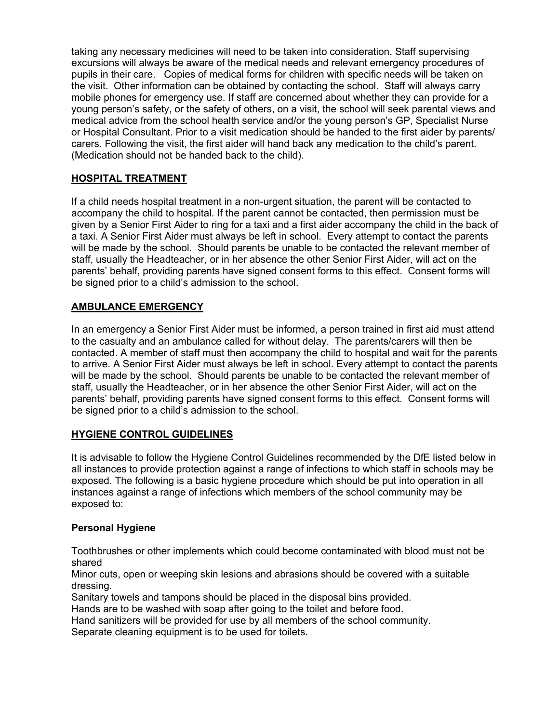taking any necessary medicines will need to be taken into consideration. Staff supervising excursions will always be aware of the medical needs and relevant emergency procedures of pupils in their care. Copies of medical forms for children with specific needs will be taken on the visit. Other information can be obtained by contacting the school. Staff will always carry mobile phones for emergency use. If staff are concerned about whether they can provide for a young person's safety, or the safety of others, on a visit, the school will seek parental views and medical advice from the school health service and/or the young person's GP, Specialist Nurse or Hospital Consultant. Prior to a visit medication should be handed to the first aider by parents/ carers. Following the visit, the first aider will hand back any medication to the child's parent. (Medication should not be handed back to the child).

# **HOSPITAL TREATMENT**

If a child needs hospital treatment in a non-urgent situation, the parent will be contacted to accompany the child to hospital. If the parent cannot be contacted, then permission must be given by a Senior First Aider to ring for a taxi and a first aider accompany the child in the back of a taxi. A Senior First Aider must always be left in school. Every attempt to contact the parents will be made by the school. Should parents be unable to be contacted the relevant member of staff, usually the Headteacher, or in her absence the other Senior First Aider, will act on the parents' behalf, providing parents have signed consent forms to this effect. Consent forms will be signed prior to a child's admission to the school.

## **AMBULANCE EMERGENCY**

In an emergency a Senior First Aider must be informed, a person trained in first aid must attend to the casualty and an ambulance called for without delay. The parents/carers will then be contacted. A member of staff must then accompany the child to hospital and wait for the parents to arrive. A Senior First Aider must always be left in school. Every attempt to contact the parents will be made by the school. Should parents be unable to be contacted the relevant member of staff, usually the Headteacher, or in her absence the other Senior First Aider, will act on the parents' behalf, providing parents have signed consent forms to this effect. Consent forms will be signed prior to a child's admission to the school.

## **HYGIENE CONTROL GUIDELINES**

It is advisable to follow the Hygiene Control Guidelines recommended by the DfE listed below in all instances to provide protection against a range of infections to which staff in schools may be exposed. The following is a basic hygiene procedure which should be put into operation in all instances against a range of infections which members of the school community may be exposed to:

## **Personal Hygiene**

Toothbrushes or other implements which could become contaminated with blood must not be shared

Minor cuts, open or weeping skin lesions and abrasions should be covered with a suitable dressing.

Sanitary towels and tampons should be placed in the disposal bins provided.

Hands are to be washed with soap after going to the toilet and before food.

Hand sanitizers will be provided for use by all members of the school community.

Separate cleaning equipment is to be used for toilets.